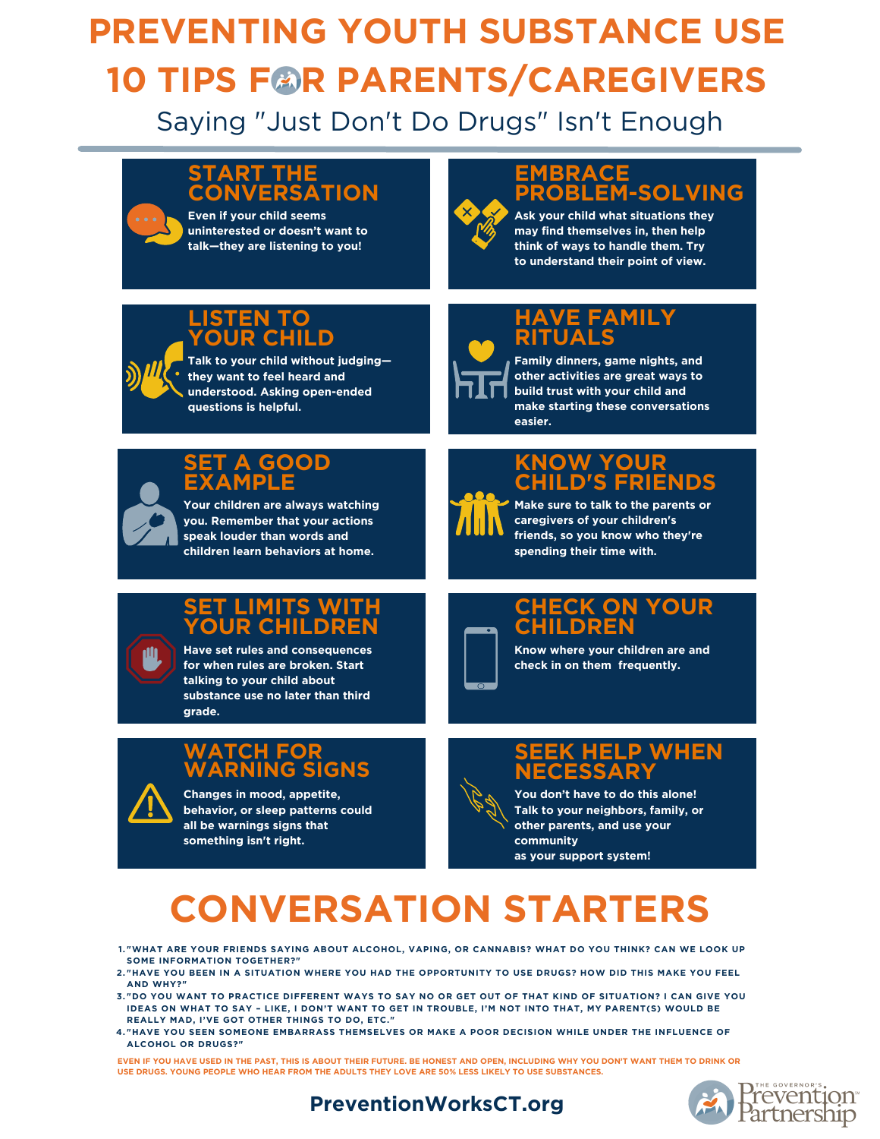# **PREVENTING YOUTH SUBSTANCE USE 10 TIPS FOR PARENTS/CAREGIVERS**

Saying "Just Don't Do Drugs" Isn't Enough

#### **START THE CONVERSATION**

**Even if your child seems uninterested or doesn't want to talk—they are listening to you!**

## **EMBRACE PROBLEM-SOLVING**

**Ask your child what situations they may find themselves in, then help think of ways to handle them. Try to understand their point of view.**

#### **LISTEN TO YOUR CHILD**

**Talk to your child without judging they want to feel heard and understood. Asking open-ended questions is helpful.**



## **HAVE FAMILY RITUALS**

**Family dinners, game nights, and other activities are great ways to build trust with your child and make starting these conversations easier.**



### **SET A GOOD EXAMPLE**

**Your children are always watching you. Remember that your actions speak louder than words and children learn behaviors at home.**

## **KNOW YOUR CHILD'S FRIENDS**



**Make sure to talk to the parents or caregivers of your children's friends, so you know who they're spending their time with.**

### **SET LIMITS WITH YOUR CHILDREN**

**Have set rules and consequences for when rules are broken. Start talking to your child about substance use no later than third grade.**

### **WATCH FOR WARNING SIGNS**

**Changes in mood, appetite, behavior, or sleep patterns could all be warnings signs that something isn't right.**

## **CHECK ON YOUR CHILDREN**

**Know where your children are and check in on them frequently.**

### **SEEK HELP WHEN NECESSARY**

**You don't have to do this alone! Talk to your neighbors, family, or other parents, and use your community as your support system!**

# **CONVERSATION STARTERS**

1."WHAT ARE YOUR FRIENDS SAYING ABOUT ALCOHOL, VAPING, OR CANNABIS? WHAT DO YOU THINK? CAN WE LOOK UP **SOME INFORMATION TOGETHER?"**

- 2."HAVE YOU BEEN IN A SITUATION WHERE YOU HAD THE OPPORTUNITY TO USE DRUGS? HOW DID THIS MAKE YOU FEEL **AND WHY?"**
- 3."DO YOU WANT TO PRACTICE DIFFERENT WAYS TO SAY NO OR GET OUT OF THAT KIND OF SITUATION? I CAN GIVE YOU IDEAS ON WHAT TO SAY - LIKE, I DON'T WANT TO GET IN TROUBLE. I'M NOT INTO THAT, MY PARENT(S) WOULD BE **REALLY MAD, I'VE GOT OTHER THINGS TO DO, ETC."**
- **"HAVE YOU SEEN SOMEONE EMBARRASS THEMSELVES OR MAKE A POOR DECISION WHILE UNDER THE INFLUENCE OF 4. ALCOHOL OR DRUGS?"**

EVEN IF YOU HAVE USED IN THE PAST, THIS IS ABOUT THEIR FUTURE. BE HONEST AND OPEN, INCLUDING WHY YOU DON'T WANT THEM TO DRINK OR **USE DRUGS. YOUNG PEOPLE WHO HEAR FROM THE ADULTS THEY LOVE ARE 50% LESS LIKELY TO USE SUBSTANCES.**



### **PreventionWorksCT.org**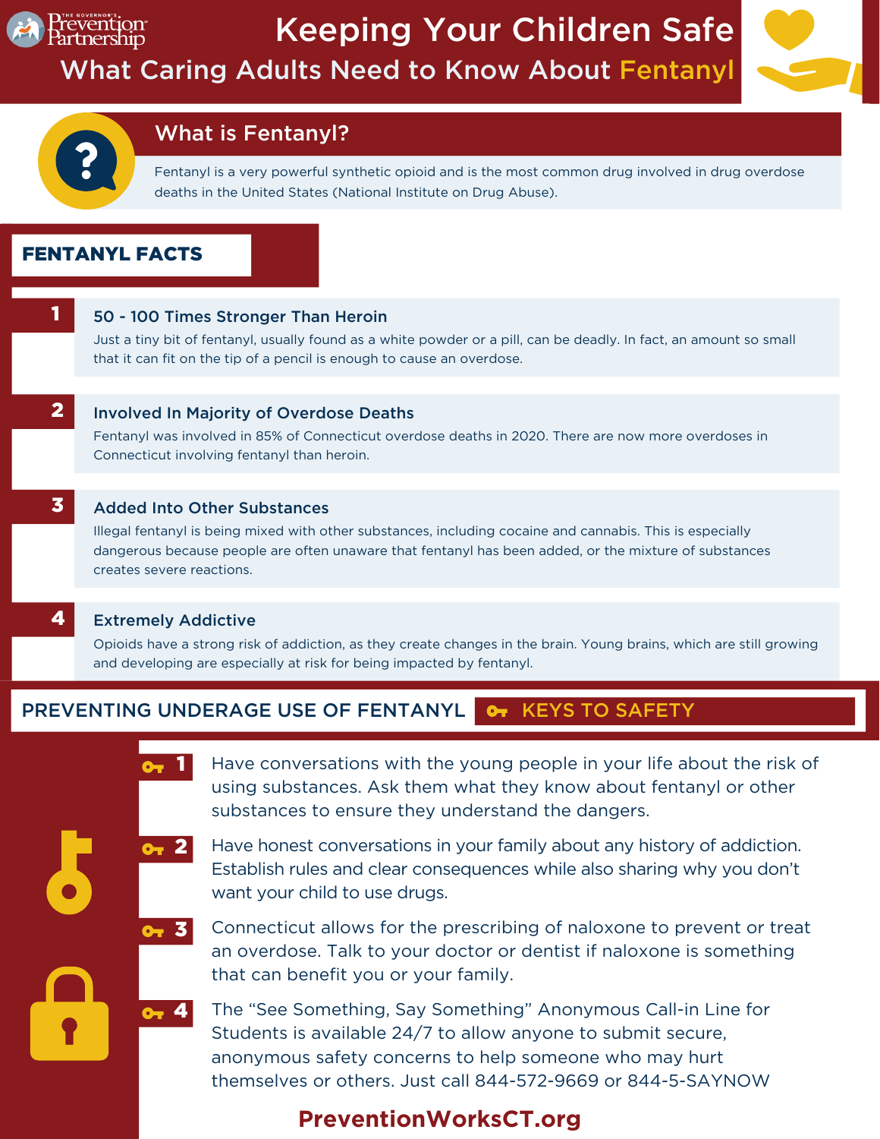



## What is Fentanyl?

Fentanyl is a very powerful synthetic opioid and is the most common drug involved in drug overdose deaths in the United States (National Institute on Drug Abuse).

### FENTANYL FACTS

#### 50 - 100 Times Stronger Than Heroin

Just a tiny bit of fentanyl, usually found as a white powder or a pill, can be deadly. In fact, an amount so small that it can fit on the tip of a pencil is enough to cause an overdose.

2

#### Involved In Majority of Overdose Deaths

Fentanyl was involved in 85% of Connecticut overdose deaths in 2020. There are now more overdoses in Connecticut involving fentanyl than heroin.

#### Added Into Other Substances 3

Illegal fentanyl is being mixed with other substances, including cocaine and cannabis. This is especially dangerous because people are often unaware that fentanyl has been added, or the mixture of substances creates severe reactions.

4

1

#### Extremely Addictive

Opioids have a strong risk of addiction, as they create changes in the brain. Young brains, which are still growing and developing are especially at risk for being impacted by fentanyl.

#### PREVENTING UNDERAGE USE OF FENTANYL **OT KEYS TO SAFETY**

Have conversations with the young people in your life about the risk of using substances. Ask them what they know about fentanyl or other substances to ensure they understand the dangers. 1

Have honest conversations in your family about any history of addiction. Establish rules and clear consequences while also sharing why you don't want your child to use drugs. 2

Connecticut allows for the prescribing of naloxone to prevent or treat an overdose. Talk to your doctor or dentist if naloxone is something that can benefit you or your family. 3

**4** The "See Something, Say Something" Anonymous Call-in Line for Students is available 24/7 to allow anyone to submit secure, anonymous safety concerns to help someone who may hurt themselves or others. Just call 844-572-9669 or 844-5-SAYNOW

## **PreventionWorksCT.org**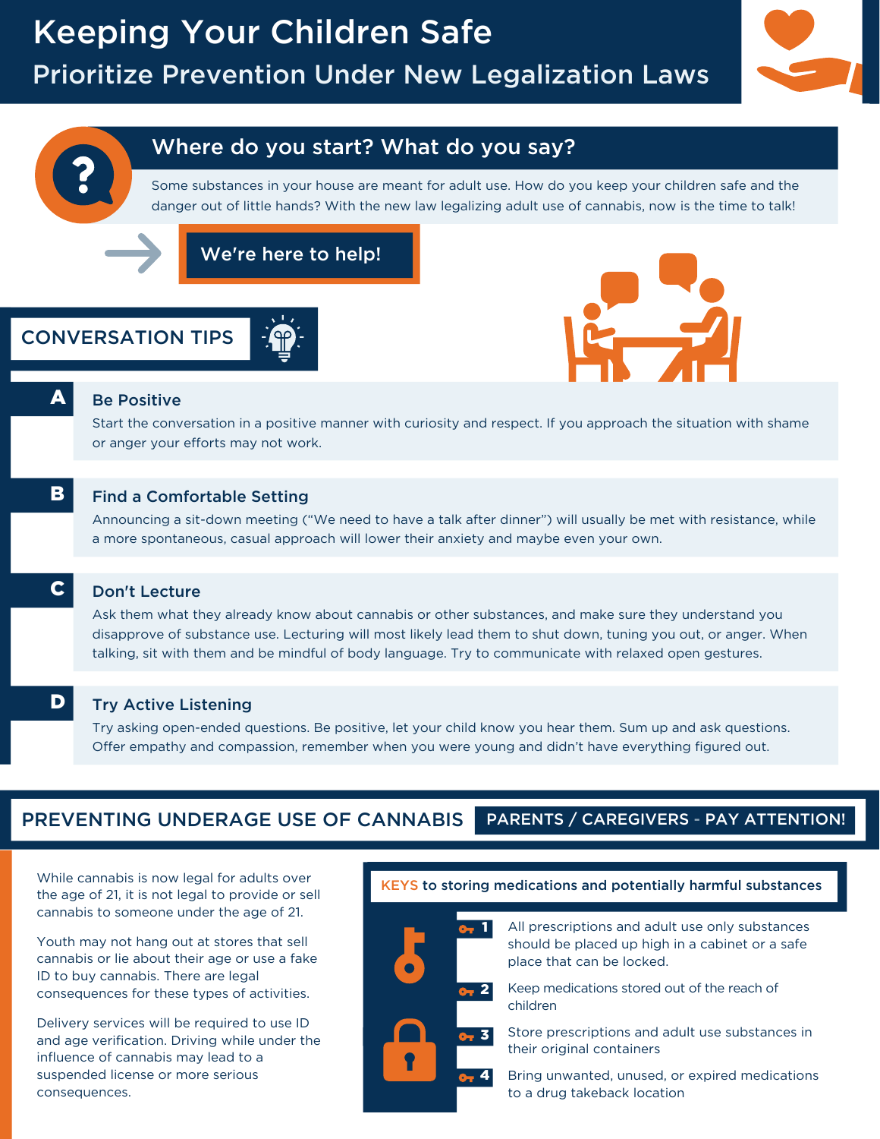

## Where do you start? What do you say?

Some substances in your house are meant for adult use. How do you keep your children safe and the danger out of little hands? With the new law legalizing adult use of cannabis, now is the time to talk!

We're here to help!

## CONVERSATION TIPS





A

C

#### Be Positive

Start the conversation in a positive manner with curiosity and respect. If you approach the situation with shame or anger your efforts may not work.

#### Find a Comfortable Setting B

Announcing a sit-down meeting ("We need to have a talk after dinner") will usually be met with resistance, while a more spontaneous, casual approach will lower their anxiety and maybe even your own.

#### Don't Lecture

Ask them what they already know about cannabis or other substances, and make sure they understand you disapprove of substance use. Lecturing will most likely lead them to shut down, tuning you out, or anger. When talking, sit with them and be mindful of body language. Try to communicate with relaxed open gestures.

#### Try Active Listening D

Try asking open-ended questions. Be positive, let your child know you hear them. Sum up and ask questions. Offer empathy and compassion, remember when you were young and didn't have everything figured out.

#### PREVENTING UNDERAGE USE OF CANNABIS PARENTS / CAREGIVERS - PAY ATTENTION!

While cannabis is now legal for adults over the age of 21, it is not legal to provide or sell cannabis to someone under the age of 21.

Youth may not hang out at stores that sell cannabis or lie about their age or use a fake ID to buy cannabis. There are legal consequences for these types of activities.

Delivery services will be required to use ID and age verification. Driving while under the influence of cannabis may lead to a suspended license or more serious consequences.

#### KEYS to storing medications and potentially harmful substances



All prescriptions and adult use only substances should be placed up high in a cabinet or a safe place that can be locked.



Store prescriptions and adult use substances in their original containers

Bring unwanted, unused, or expired medications to a drug takeback location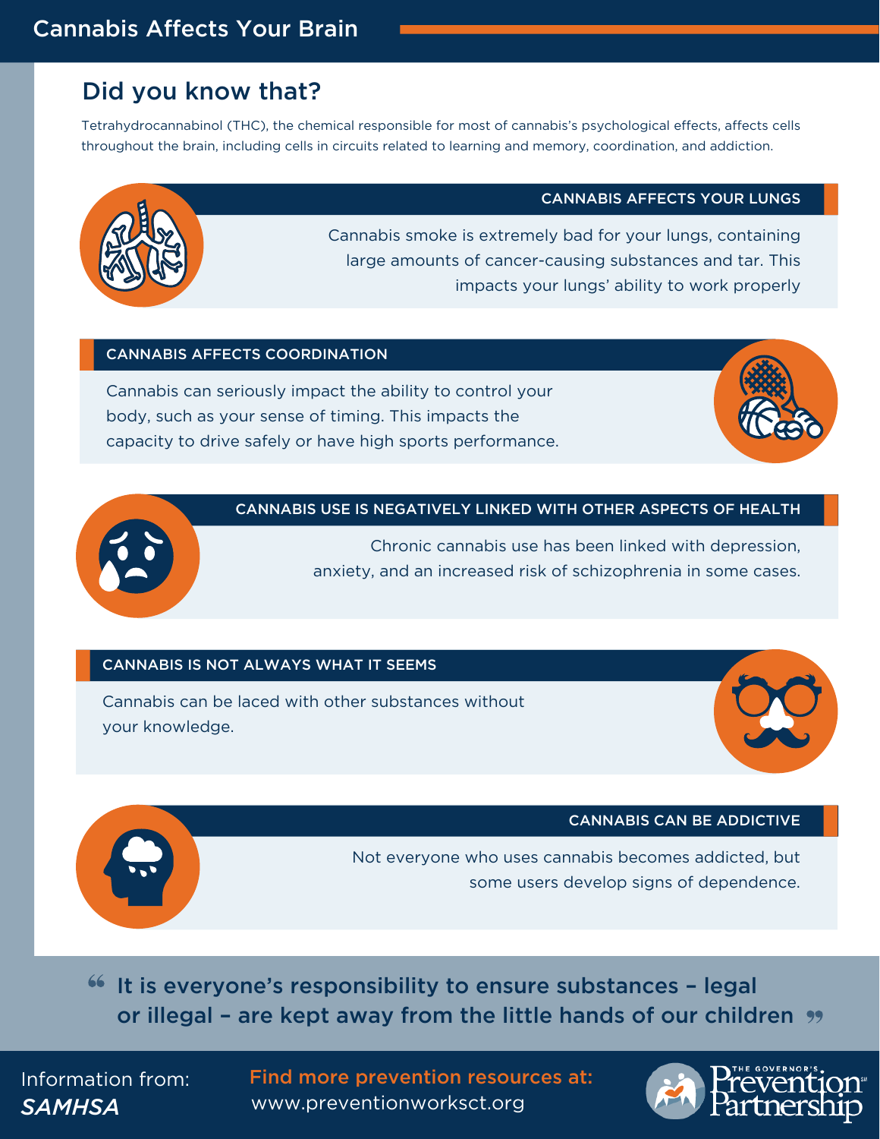## Cannabis Affects Your Brain

## Did you know that?

Tetrahydrocannabinol (THC), the chemical responsible for most of cannabis's psychological effects, affects cells throughout the brain, including cells in circuits related to learning and memory, coordination, and addiction.

#### CANNABIS AFFECTS YOUR LUNGS



Cannabis smoke is extremely bad for your lungs, containing large amounts of cancer-causing substances and tar. This impacts your lungs' ability to work properly

#### CANNABIS AFFECTS COORDINATION

Cannabis can seriously impact the ability to control your body, such as your sense of timing. This impacts the capacity to drive safely or have high sports performance.



#### CANNABIS USE IS NEGATIVELY LINKED WITH OTHER ASPECTS OF HEALTH

Chronic cannabis use has been linked with depression, anxiety, and an increased risk of schizophrenia in some cases.

#### CANNABIS IS NOT ALWAYS WHAT IT SEEMS

Cannabis can be laced with other substances without your knowledge.





CANNABIS CAN BE ADDICTIVE

Not everyone who uses cannabis becomes addicted, but some users develop signs of dependence.

It is everyone's responsibility to ensure substances – legal or illegal - are kept away from the little hands of our children "

*SAMHSA* www.preventionworksct.org Information from: Find more prevention resources at:

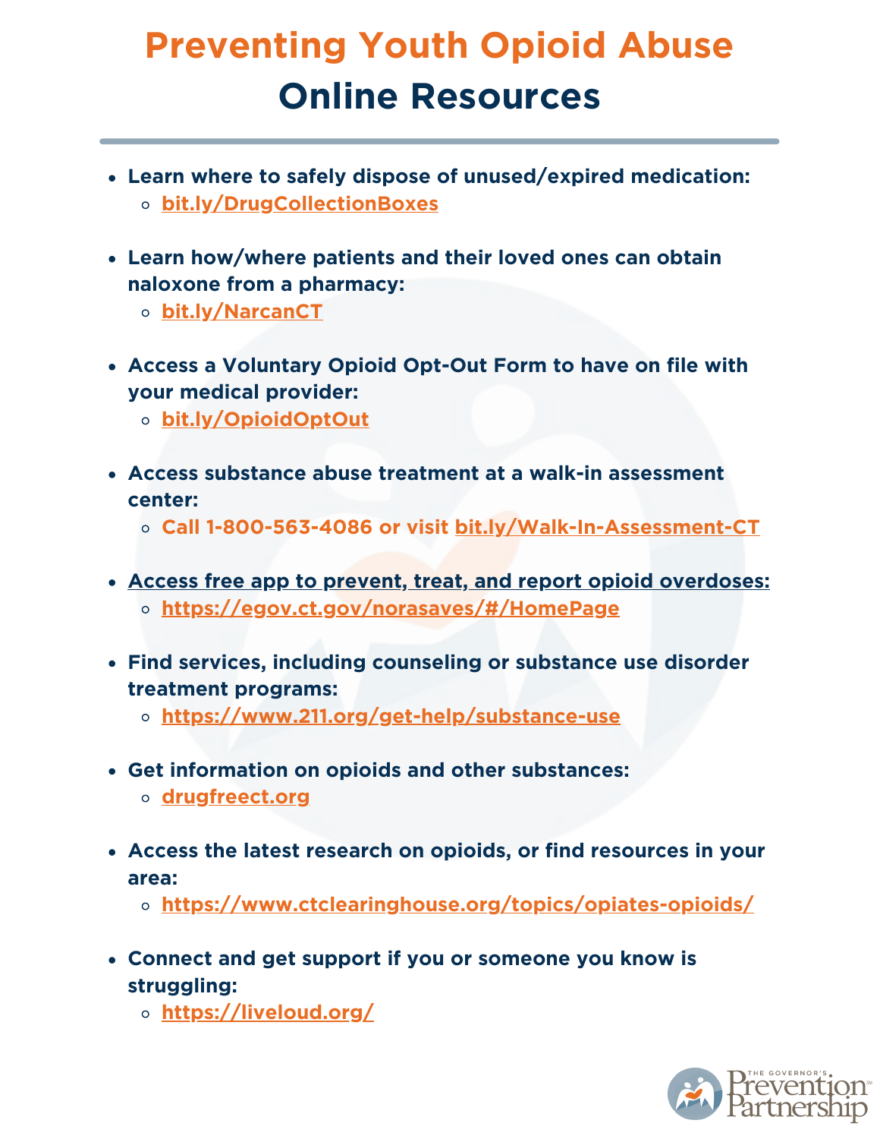# **Preventing Youth Opioid Abuse Online Resources**

- **Learn where to safely dispose of unused/expired medication: [bit.ly/DrugCollectionBoxes](http://bit.ly/DrugCollectionBoxes)**
- **Learn how/where patients and their loved ones can obtain naloxone from a pharmacy:**
	- **[bit.ly/NarcanCT](http://bit.ly/NarcanCT)**
- **Access a Voluntary Opioid Opt-Out Form to have on file with your medical provider:**
	- **[bit.ly/OpioidOptOut](http://bit.ly/OpioidOptOut)**
- **Access substance abuse treatment at a walk-in assessment center:**
	- **Call 1-800-563-4086 or visit [bit.ly/Walk-In-Assessment-CT](http://bit.ly/Walk-In-Assessment-CT)**
- **Access free app to prevent, treat, and report opioid overdoses: https://egov.ct.gov/norasaves/#/HomePage**
- **Find services, including counseling or substance use disorder treatment programs:**
	- **<https://www.211.org/get-help/substance-use>**
- **Get information on opioids and other substances:**
	- **[drugfreect.org](http://drugfreect.org/)**
- **Access the latest research on opioids, or find resources in your area:**
	- **<https://www.ctclearinghouse.org/topics/opiates-opioids/>**
- **Connect and get support if you or someone you know is struggling:**
	- **<https://liveloud.org/>**